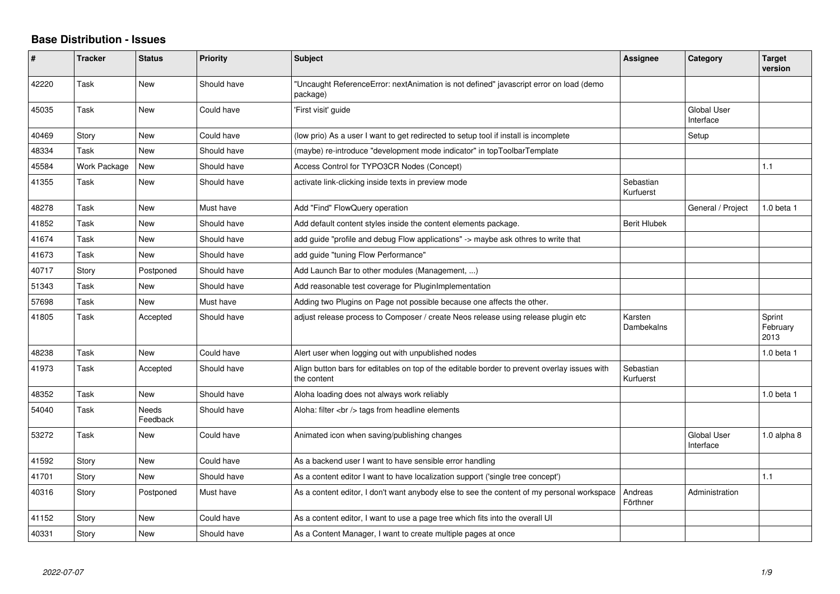## **Base Distribution - Issues**

| #     | <b>Tracker</b> | <b>Status</b>            | <b>Priority</b> | <b>Subject</b>                                                                                              | Assignee               | Category                 | <b>Target</b><br>version   |
|-------|----------------|--------------------------|-----------------|-------------------------------------------------------------------------------------------------------------|------------------------|--------------------------|----------------------------|
| 42220 | Task           | <b>New</b>               | Should have     | "Uncaught ReferenceError: nextAnimation is not defined" javascript error on load (demo<br>package)          |                        |                          |                            |
| 45035 | Task           | <b>New</b>               | Could have      | 'First visit' guide                                                                                         |                        | Global User<br>Interface |                            |
| 40469 | Story          | <b>New</b>               | Could have      | (low prio) As a user I want to get redirected to setup tool if install is incomplete                        |                        | Setup                    |                            |
| 48334 | Task           | New                      | Should have     | (maybe) re-introduce "development mode indicator" in topToolbarTemplate                                     |                        |                          |                            |
| 45584 | Work Package   | <b>New</b>               | Should have     | Access Control for TYPO3CR Nodes (Concept)                                                                  |                        |                          | 1.1                        |
| 41355 | Task           | <b>New</b>               | Should have     | activate link-clicking inside texts in preview mode                                                         | Sebastian<br>Kurfuerst |                          |                            |
| 48278 | Task           | <b>New</b>               | Must have       | Add "Find" FlowQuery operation                                                                              |                        | General / Project        | 1.0 beta 1                 |
| 41852 | Task           | New                      | Should have     | Add default content styles inside the content elements package.                                             | <b>Berit Hlubek</b>    |                          |                            |
| 41674 | Task           | New                      | Should have     | add guide "profile and debug Flow applications" -> maybe ask othres to write that                           |                        |                          |                            |
| 41673 | Task           | New                      | Should have     | add guide "tuning Flow Performance"                                                                         |                        |                          |                            |
| 40717 | Story          | Postponed                | Should have     | Add Launch Bar to other modules (Management, )                                                              |                        |                          |                            |
| 51343 | Task           | <b>New</b>               | Should have     | Add reasonable test coverage for PluginImplementation                                                       |                        |                          |                            |
| 57698 | Task           | <b>New</b>               | Must have       | Adding two Plugins on Page not possible because one affects the other.                                      |                        |                          |                            |
| 41805 | Task           | Accepted                 | Should have     | adjust release process to Composer / create Neos release using release plugin etc                           | Karsten<br>Dambekalns  |                          | Sprint<br>February<br>2013 |
| 48238 | Task           | <b>New</b>               | Could have      | Alert user when logging out with unpublished nodes                                                          |                        |                          | $1.0$ beta $1$             |
| 41973 | Task           | Accepted                 | Should have     | Align button bars for editables on top of the editable border to prevent overlay issues with<br>the content | Sebastian<br>Kurfuerst |                          |                            |
| 48352 | Task           | <b>New</b>               | Should have     | Aloha loading does not always work reliably                                                                 |                        |                          | $1.0$ beta $1$             |
| 54040 | Task           | <b>Needs</b><br>Feedback | Should have     | Aloha: filter $\langle$ br $/$ tags from headline elements                                                  |                        |                          |                            |
| 53272 | Task           | <b>New</b>               | Could have      | Animated icon when saving/publishing changes                                                                |                        | Global User<br>Interface | $1.0$ alpha $8$            |
| 41592 | Story          | <b>New</b>               | Could have      | As a backend user I want to have sensible error handling                                                    |                        |                          |                            |
| 41701 | Story          | <b>New</b>               | Should have     | As a content editor I want to have localization support ('single tree concept')                             |                        |                          | 1.1                        |
| 40316 | Story          | Postponed                | Must have       | As a content editor, I don't want anybody else to see the content of my personal workspace                  | Andreas<br>Förthner    | Administration           |                            |
| 41152 | Story          | New                      | Could have      | As a content editor, I want to use a page tree which fits into the overall UI                               |                        |                          |                            |
| 40331 | Story          | <b>New</b>               | Should have     | As a Content Manager, I want to create multiple pages at once                                               |                        |                          |                            |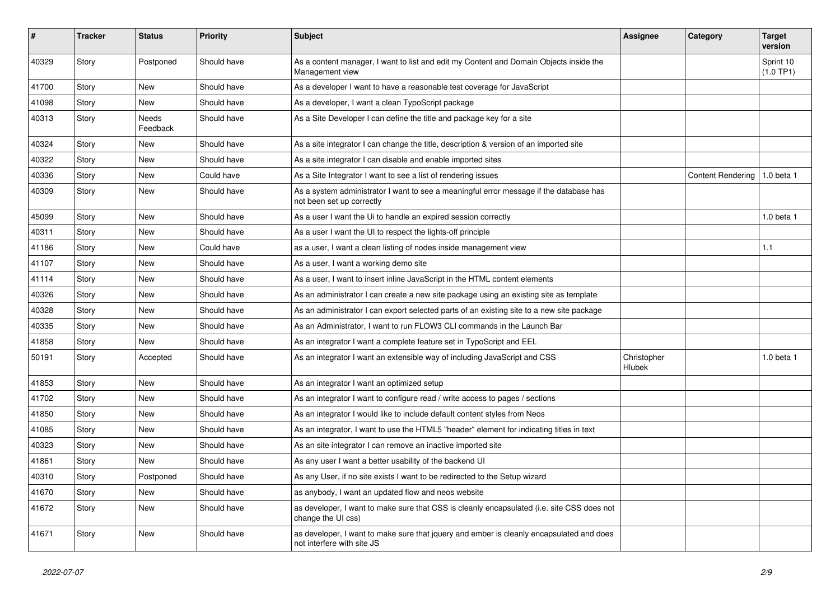| #     | <b>Tracker</b> | <b>Status</b>            | <b>Priority</b> | <b>Subject</b>                                                                                                         | Assignee                     | Category                       | <b>Target</b><br>version |
|-------|----------------|--------------------------|-----------------|------------------------------------------------------------------------------------------------------------------------|------------------------------|--------------------------------|--------------------------|
| 40329 | Story          | Postponed                | Should have     | As a content manager, I want to list and edit my Content and Domain Objects inside the<br>Management view              |                              |                                | Sprint 10<br>(1.0 TP1)   |
| 41700 | Story          | <b>New</b>               | Should have     | As a developer I want to have a reasonable test coverage for JavaScript                                                |                              |                                |                          |
| 41098 | Story          | New                      | Should have     | As a developer, I want a clean TypoScript package                                                                      |                              |                                |                          |
| 40313 | Story          | <b>Needs</b><br>Feedback | Should have     | As a Site Developer I can define the title and package key for a site                                                  |                              |                                |                          |
| 40324 | Story          | <b>New</b>               | Should have     | As a site integrator I can change the title, description & version of an imported site                                 |                              |                                |                          |
| 40322 | Story          | <b>New</b>               | Should have     | As a site integrator I can disable and enable imported sites                                                           |                              |                                |                          |
| 40336 | Story          | New                      | Could have      | As a Site Integrator I want to see a list of rendering issues                                                          |                              | Content Rendering   1.0 beta 1 |                          |
| 40309 | Story          | <b>New</b>               | Should have     | As a system administrator I want to see a meaningful error message if the database has<br>not been set up correctly    |                              |                                |                          |
| 45099 | Story          | New                      | Should have     | As a user I want the Ui to handle an expired session correctly                                                         |                              |                                | 1.0 beta 1               |
| 40311 | Story          | <b>New</b>               | Should have     | As a user I want the UI to respect the lights-off principle                                                            |                              |                                |                          |
| 41186 | Story          | <b>New</b>               | Could have      | as a user, I want a clean listing of nodes inside management view                                                      |                              |                                | 1.1                      |
| 41107 | Story          | New                      | Should have     | As a user, I want a working demo site                                                                                  |                              |                                |                          |
| 41114 | Story          | New                      | Should have     | As a user, I want to insert inline JavaScript in the HTML content elements                                             |                              |                                |                          |
| 40326 | Story          | New                      | Should have     | As an administrator I can create a new site package using an existing site as template                                 |                              |                                |                          |
| 40328 | Story          | New                      | Should have     | As an administrator I can export selected parts of an existing site to a new site package                              |                              |                                |                          |
| 40335 | Story          | New                      | Should have     | As an Administrator, I want to run FLOW3 CLI commands in the Launch Bar                                                |                              |                                |                          |
| 41858 | Story          | New                      | Should have     | As an integrator I want a complete feature set in TypoScript and EEL                                                   |                              |                                |                          |
| 50191 | Story          | Accepted                 | Should have     | As an integrator I want an extensible way of including JavaScript and CSS                                              | Christopher<br><b>Hlubek</b> |                                | 1.0 beta 1               |
| 41853 | Story          | <b>New</b>               | Should have     | As an integrator I want an optimized setup                                                                             |                              |                                |                          |
| 41702 | Story          | <b>New</b>               | Should have     | As an integrator I want to configure read / write access to pages / sections                                           |                              |                                |                          |
| 41850 | Story          | <b>New</b>               | Should have     | As an integrator I would like to include default content styles from Neos                                              |                              |                                |                          |
| 41085 | Story          | <b>New</b>               | Should have     | As an integrator, I want to use the HTML5 "header" element for indicating titles in text                               |                              |                                |                          |
| 40323 | Story          | <b>New</b>               | Should have     | As an site integrator I can remove an inactive imported site                                                           |                              |                                |                          |
| 41861 | Story          | New                      | Should have     | As any user I want a better usability of the backend UI                                                                |                              |                                |                          |
| 40310 | Story          | Postponed                | Should have     | As any User, if no site exists I want to be redirected to the Setup wizard                                             |                              |                                |                          |
| 41670 | Story          | <b>New</b>               | Should have     | as anybody, I want an updated flow and neos website                                                                    |                              |                                |                          |
| 41672 | Story          | <b>New</b>               | Should have     | as developer, I want to make sure that CSS is cleanly encapsulated (i.e. site CSS does not<br>change the UI css)       |                              |                                |                          |
| 41671 | Story          | <b>New</b>               | Should have     | as developer, I want to make sure that jquery and ember is cleanly encapsulated and does<br>not interfere with site JS |                              |                                |                          |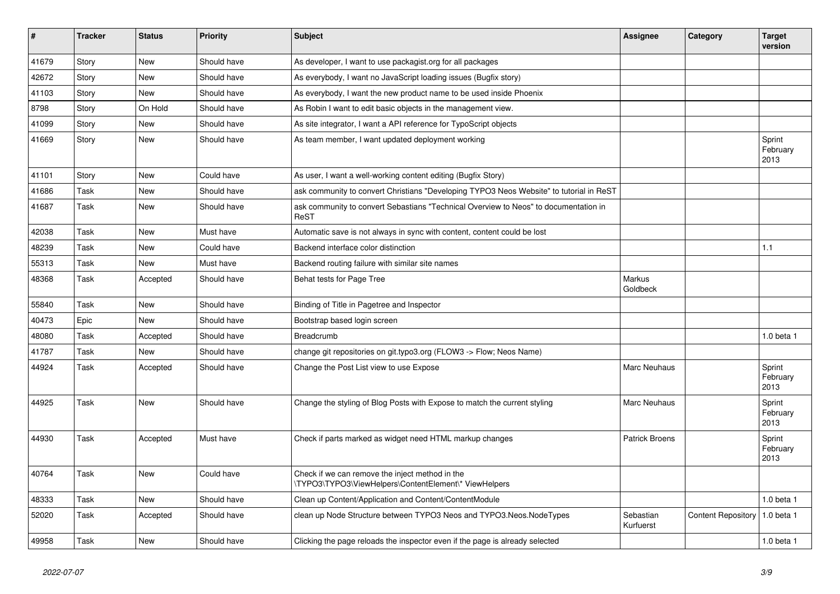| $\vert$ # | <b>Tracker</b> | <b>Status</b> | <b>Priority</b> | <b>Subject</b>                                                                                           | Assignee               | Category                  | <b>Target</b><br>version   |
|-----------|----------------|---------------|-----------------|----------------------------------------------------------------------------------------------------------|------------------------|---------------------------|----------------------------|
| 41679     | Story          | <b>New</b>    | Should have     | As developer, I want to use packagist.org for all packages                                               |                        |                           |                            |
| 42672     | Story          | <b>New</b>    | Should have     | As everybody, I want no JavaScript loading issues (Bugfix story)                                         |                        |                           |                            |
| 41103     | Story          | <b>New</b>    | Should have     | As everybody, I want the new product name to be used inside Phoenix                                      |                        |                           |                            |
| 8798      | Story          | On Hold       | Should have     | As Robin I want to edit basic objects in the management view.                                            |                        |                           |                            |
| 41099     | Story          | <b>New</b>    | Should have     | As site integrator, I want a API reference for TypoScript objects                                        |                        |                           |                            |
| 41669     | Story          | <b>New</b>    | Should have     | As team member, I want updated deployment working                                                        |                        |                           | Sprint<br>February<br>2013 |
| 41101     | Story          | New           | Could have      | As user, I want a well-working content editing (Bugfix Story)                                            |                        |                           |                            |
| 41686     | Task           | New           | Should have     | ask community to convert Christians "Developing TYPO3 Neos Website" to tutorial in ReST                  |                        |                           |                            |
| 41687     | Task           | <b>New</b>    | Should have     | ask community to convert Sebastians "Technical Overview to Neos" to documentation in<br>ReST             |                        |                           |                            |
| 42038     | Task           | <b>New</b>    | Must have       | Automatic save is not always in sync with content, content could be lost                                 |                        |                           |                            |
| 48239     | Task           | <b>New</b>    | Could have      | Backend interface color distinction                                                                      |                        |                           | 1.1                        |
| 55313     | Task           | <b>New</b>    | Must have       | Backend routing failure with similar site names                                                          |                        |                           |                            |
| 48368     | Task           | Accepted      | Should have     | Behat tests for Page Tree                                                                                | Markus<br>Goldbeck     |                           |                            |
| 55840     | Task           | <b>New</b>    | Should have     | Binding of Title in Pagetree and Inspector                                                               |                        |                           |                            |
| 40473     | Epic           | <b>New</b>    | Should have     | Bootstrap based login screen                                                                             |                        |                           |                            |
| 48080     | Task           | Accepted      | Should have     | Breadcrumb                                                                                               |                        |                           | $1.0$ beta $1$             |
| 41787     | Task           | New           | Should have     | change git repositories on git.typo3.org (FLOW3 -> Flow; Neos Name)                                      |                        |                           |                            |
| 44924     | Task           | Accepted      | Should have     | Change the Post List view to use Expose                                                                  | Marc Neuhaus           |                           | Sprint<br>February<br>2013 |
| 44925     | Task           | <b>New</b>    | Should have     | Change the styling of Blog Posts with Expose to match the current styling                                | <b>Marc Neuhaus</b>    |                           | Sprint<br>February<br>2013 |
| 44930     | Task           | Accepted      | Must have       | Check if parts marked as widget need HTML markup changes                                                 | <b>Patrick Broens</b>  |                           | Sprint<br>February<br>2013 |
| 40764     | Task           | New           | Could have      | Check if we can remove the inject method in the<br>\TYPO3\TYPO3\ViewHelpers\ContentElement\* ViewHelpers |                        |                           |                            |
| 48333     | Task           | <b>New</b>    | Should have     | Clean up Content/Application and Content/ContentModule                                                   |                        |                           | $1.0$ beta $1$             |
| 52020     | Task           | Accepted      | Should have     | clean up Node Structure between TYPO3 Neos and TYPO3. Neos. Node Types                                   | Sebastian<br>Kurfuerst | <b>Content Repository</b> | 1.0 beta 1                 |
| 49958     | Task           | New           | Should have     | Clicking the page reloads the inspector even if the page is already selected                             |                        |                           | $1.0$ beta $1$             |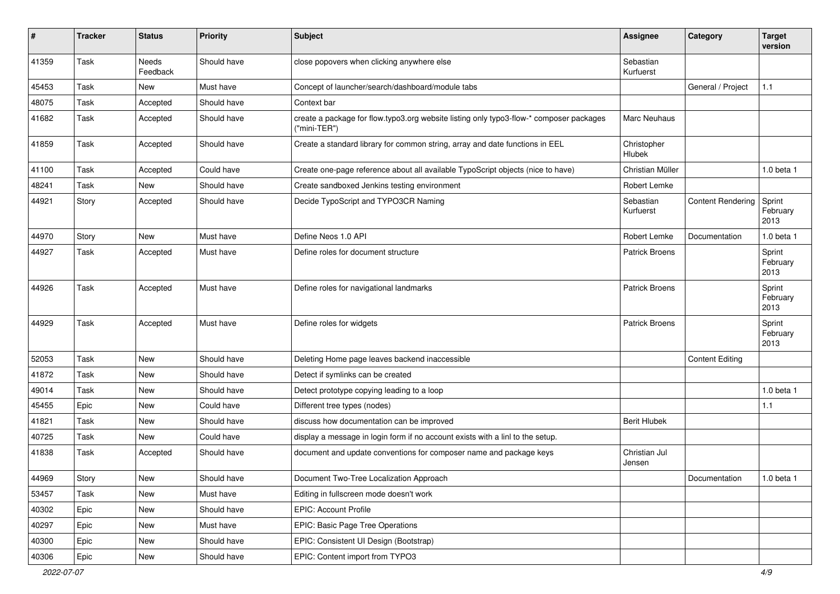| ∦     | <b>Tracker</b> | <b>Status</b>            | <b>Priority</b> | <b>Subject</b>                                                                                          | <b>Assignee</b>         | Category                 | <b>Target</b><br>version   |
|-------|----------------|--------------------------|-----------------|---------------------------------------------------------------------------------------------------------|-------------------------|--------------------------|----------------------------|
| 41359 | Task           | <b>Needs</b><br>Feedback | Should have     | close popovers when clicking anywhere else                                                              | Sebastian<br>Kurfuerst  |                          |                            |
| 45453 | Task           | New                      | Must have       | Concept of launcher/search/dashboard/module tabs                                                        |                         | General / Project        | 1.1                        |
| 48075 | Task           | Accepted                 | Should have     | Context bar                                                                                             |                         |                          |                            |
| 41682 | Task           | Accepted                 | Should have     | create a package for flow typo3.org website listing only typo3-flow-* composer packages<br>("mini-TER") | Marc Neuhaus            |                          |                            |
| 41859 | Task           | Accepted                 | Should have     | Create a standard library for common string, array and date functions in EEL                            | Christopher<br>Hlubek   |                          |                            |
| 41100 | Task           | Accepted                 | Could have      | Create one-page reference about all available TypoScript objects (nice to have)                         | Christian Müller        |                          | 1.0 beta 1                 |
| 48241 | Task           | <b>New</b>               | Should have     | Create sandboxed Jenkins testing environment                                                            | Robert Lemke            |                          |                            |
| 44921 | Story          | Accepted                 | Should have     | Decide TypoScript and TYPO3CR Naming                                                                    | Sebastian<br>Kurfuerst  | <b>Content Rendering</b> | Sprint<br>February<br>2013 |
| 44970 | Story          | <b>New</b>               | Must have       | Define Neos 1.0 API                                                                                     | Robert Lemke            | Documentation            | 1.0 beta 1                 |
| 44927 | Task           | Accepted                 | Must have       | Define roles for document structure                                                                     | Patrick Broens          |                          | Sprint<br>February<br>2013 |
| 44926 | Task           | Accepted                 | Must have       | Define roles for navigational landmarks                                                                 | <b>Patrick Broens</b>   |                          | Sprint<br>February<br>2013 |
| 44929 | Task           | Accepted                 | Must have       | Define roles for widgets                                                                                | <b>Patrick Broens</b>   |                          | Sprint<br>February<br>2013 |
| 52053 | Task           | <b>New</b>               | Should have     | Deleting Home page leaves backend inaccessible                                                          |                         | <b>Content Editing</b>   |                            |
| 41872 | Task           | New                      | Should have     | Detect if symlinks can be created                                                                       |                         |                          |                            |
| 49014 | Task           | New                      | Should have     | Detect prototype copying leading to a loop                                                              |                         |                          | 1.0 beta 1                 |
| 45455 | Epic           | <b>New</b>               | Could have      | Different tree types (nodes)                                                                            |                         |                          | 1.1                        |
| 41821 | Task           | <b>New</b>               | Should have     | discuss how documentation can be improved                                                               | <b>Berit Hlubek</b>     |                          |                            |
| 40725 | Task           | <b>New</b>               | Could have      | display a message in login form if no account exists with a linl to the setup.                          |                         |                          |                            |
| 41838 | Task           | Accepted                 | Should have     | document and update conventions for composer name and package keys                                      | Christian Jul<br>Jensen |                          |                            |
| 44969 | Story          | New                      | Should have     | Document Two-Tree Localization Approach                                                                 |                         | Documentation            | 1.0 beta 1                 |
| 53457 | Task           | New                      | Must have       | Editing in fullscreen mode doesn't work                                                                 |                         |                          |                            |
| 40302 | Epic           | New                      | Should have     | EPIC: Account Profile                                                                                   |                         |                          |                            |
| 40297 | Epic           | New                      | Must have       | EPIC: Basic Page Tree Operations                                                                        |                         |                          |                            |
| 40300 | Epic           | New                      | Should have     | EPIC: Consistent UI Design (Bootstrap)                                                                  |                         |                          |                            |
| 40306 | Epic           | New                      | Should have     | EPIC: Content import from TYPO3                                                                         |                         |                          |                            |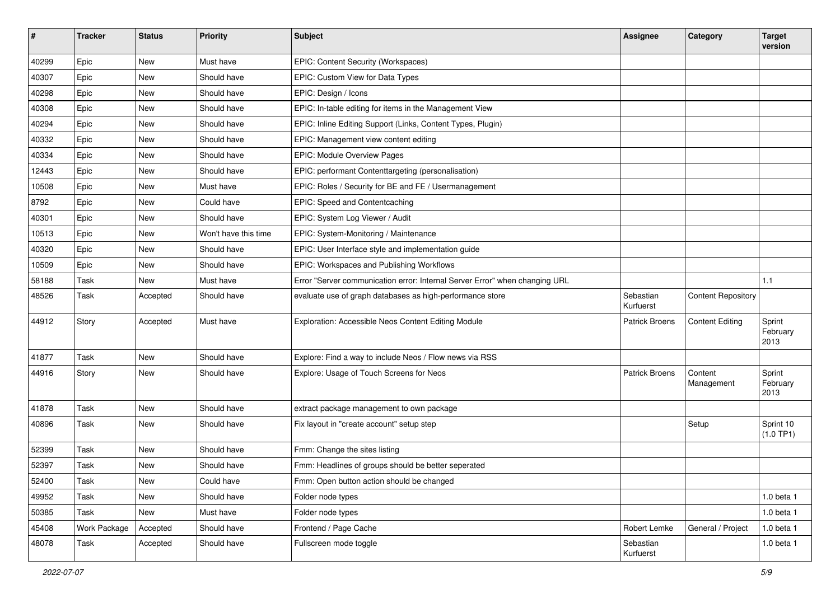| ∦     | <b>Tracker</b> | <b>Status</b> | <b>Priority</b>      | <b>Subject</b>                                                              | <b>Assignee</b>        | Category                  | <b>Target</b><br>version   |
|-------|----------------|---------------|----------------------|-----------------------------------------------------------------------------|------------------------|---------------------------|----------------------------|
| 40299 | Epic           | <b>New</b>    | Must have            | EPIC: Content Security (Workspaces)                                         |                        |                           |                            |
| 40307 | Epic           | New           | Should have          | EPIC: Custom View for Data Types                                            |                        |                           |                            |
| 40298 | Epic           | New           | Should have          | EPIC: Design / Icons                                                        |                        |                           |                            |
| 40308 | Epic           | New           | Should have          | EPIC: In-table editing for items in the Management View                     |                        |                           |                            |
| 40294 | Epic           | New           | Should have          | EPIC: Inline Editing Support (Links, Content Types, Plugin)                 |                        |                           |                            |
| 40332 | Epic           | <b>New</b>    | Should have          | EPIC: Management view content editing                                       |                        |                           |                            |
| 40334 | Epic           | <b>New</b>    | Should have          | <b>EPIC: Module Overview Pages</b>                                          |                        |                           |                            |
| 12443 | Epic           | <b>New</b>    | Should have          | EPIC: performant Contenttargeting (personalisation)                         |                        |                           |                            |
| 10508 | Epic           | <b>New</b>    | Must have            | EPIC: Roles / Security for BE and FE / Usermanagement                       |                        |                           |                            |
| 8792  | Epic           | New           | Could have           | EPIC: Speed and Contentcaching                                              |                        |                           |                            |
| 40301 | Epic           | <b>New</b>    | Should have          | EPIC: System Log Viewer / Audit                                             |                        |                           |                            |
| 10513 | Epic           | New           | Won't have this time | EPIC: System-Monitoring / Maintenance                                       |                        |                           |                            |
| 40320 | Epic           | New           | Should have          | EPIC: User Interface style and implementation guide                         |                        |                           |                            |
| 10509 | Epic           | <b>New</b>    | Should have          | EPIC: Workspaces and Publishing Workflows                                   |                        |                           |                            |
| 58188 | Task           | New           | Must have            | Error "Server communication error: Internal Server Error" when changing URL |                        |                           | 1.1                        |
| 48526 | Task           | Accepted      | Should have          | evaluate use of graph databases as high-performance store                   | Sebastian<br>Kurfuerst | <b>Content Repository</b> |                            |
| 44912 | Story          | Accepted      | Must have            | Exploration: Accessible Neos Content Editing Module                         | <b>Patrick Broens</b>  | <b>Content Editing</b>    | Sprint<br>February<br>2013 |
| 41877 | Task           | New           | Should have          | Explore: Find a way to include Neos / Flow news via RSS                     |                        |                           |                            |
| 44916 | Story          | <b>New</b>    | Should have          | Explore: Usage of Touch Screens for Neos                                    | <b>Patrick Broens</b>  | Content<br>Management     | Sprint<br>February<br>2013 |
| 41878 | Task           | <b>New</b>    | Should have          | extract package management to own package                                   |                        |                           |                            |
| 40896 | Task           | New           | Should have          | Fix layout in "create account" setup step                                   |                        | Setup                     | Sprint 10<br>(1.0 TP1)     |
| 52399 | Task           | <b>New</b>    | Should have          | Fmm: Change the sites listing                                               |                        |                           |                            |
| 52397 | Task           | New           | Should have          | Fmm: Headlines of groups should be better seperated                         |                        |                           |                            |
| 52400 | Task           | New           | Could have           | Fmm: Open button action should be changed                                   |                        |                           |                            |
| 49952 | Task           | New           | Should have          | Folder node types                                                           |                        |                           | 1.0 beta 1                 |
| 50385 | Task           | New           | Must have            | Folder node types                                                           |                        |                           | 1.0 beta 1                 |
| 45408 | Work Package   | Accepted      | Should have          | Frontend / Page Cache                                                       | Robert Lemke           | General / Project         | 1.0 beta 1                 |
| 48078 | Task           | Accepted      | Should have          | Fullscreen mode toggle                                                      | Sebastian<br>Kurfuerst |                           | 1.0 beta 1                 |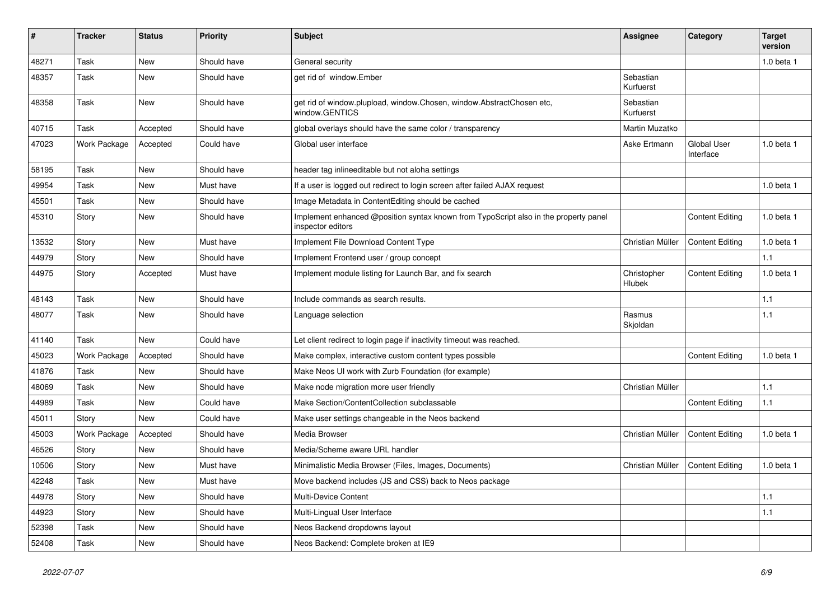| $\#$  | <b>Tracker</b>      | <b>Status</b> | <b>Priority</b> | <b>Subject</b>                                                                                            | <b>Assignee</b>              | Category                        | <b>Target</b><br>version |
|-------|---------------------|---------------|-----------------|-----------------------------------------------------------------------------------------------------------|------------------------------|---------------------------------|--------------------------|
| 48271 | Task                | New           | Should have     | General security                                                                                          |                              |                                 | 1.0 beta 1               |
| 48357 | Task                | <b>New</b>    | Should have     | get rid of window.Ember                                                                                   | Sebastian<br>Kurfuerst       |                                 |                          |
| 48358 | Task                | New           | Should have     | get rid of window.plupload, window.Chosen, window.AbstractChosen etc,<br>window.GENTICS                   | Sebastian<br>Kurfuerst       |                                 |                          |
| 40715 | Task                | Accepted      | Should have     | global overlays should have the same color / transparency                                                 | Martin Muzatko               |                                 |                          |
| 47023 | <b>Work Package</b> | Accepted      | Could have      | Global user interface                                                                                     | Aske Ertmann                 | <b>Global User</b><br>Interface | 1.0 beta 1               |
| 58195 | Task                | New           | Should have     | header tag inlineeditable but not aloha settings                                                          |                              |                                 |                          |
| 49954 | Task                | New           | Must have       | If a user is logged out redirect to login screen after failed AJAX request                                |                              |                                 | 1.0 beta 1               |
| 45501 | Task                | New           | Should have     | Image Metadata in ContentEditing should be cached                                                         |                              |                                 |                          |
| 45310 | Story               | New           | Should have     | Implement enhanced @position syntax known from TypoScript also in the property panel<br>inspector editors |                              | <b>Content Editing</b>          | 1.0 beta 1               |
| 13532 | Story               | New           | Must have       | Implement File Download Content Type                                                                      | Christian Müller             | <b>Content Editing</b>          | 1.0 beta 1               |
| 44979 | Story               | New           | Should have     | Implement Frontend user / group concept                                                                   |                              |                                 | 1.1                      |
| 44975 | Story               | Accepted      | Must have       | Implement module listing for Launch Bar, and fix search                                                   | Christopher<br><b>Hlubek</b> | <b>Content Editing</b>          | 1.0 beta 1               |
| 48143 | Task                | New           | Should have     | Include commands as search results.                                                                       |                              |                                 | $1.1$                    |
| 48077 | Task                | <b>New</b>    | Should have     | Language selection                                                                                        | Rasmus<br>Skjoldan           |                                 | $1.1$                    |
| 41140 | Task                | New           | Could have      | Let client redirect to login page if inactivity timeout was reached.                                      |                              |                                 |                          |
| 45023 | Work Package        | Accepted      | Should have     | Make complex, interactive custom content types possible                                                   |                              | <b>Content Editing</b>          | $1.0$ beta $1$           |
| 41876 | Task                | New           | Should have     | Make Neos UI work with Zurb Foundation (for example)                                                      |                              |                                 |                          |
| 48069 | Task                | New           | Should have     | Make node migration more user friendly                                                                    | Christian Müller             |                                 | $1.1$                    |
| 44989 | Task                | New           | Could have      | Make Section/ContentCollection subclassable                                                               |                              | <b>Content Editing</b>          | 1.1                      |
| 45011 | Story               | New           | Could have      | Make user settings changeable in the Neos backend                                                         |                              |                                 |                          |
| 45003 | Work Package        | Accepted      | Should have     | Media Browser                                                                                             | Christian Müller             | <b>Content Editing</b>          | $1.0$ beta $1$           |
| 46526 | Story               | New           | Should have     | Media/Scheme aware URL handler                                                                            |                              |                                 |                          |
| 10506 | Story               | <b>New</b>    | Must have       | Minimalistic Media Browser (Files, Images, Documents)                                                     | Christian Müller             | <b>Content Editing</b>          | 1.0 beta 1               |
| 42248 | Task                | New           | Must have       | Move backend includes (JS and CSS) back to Neos package                                                   |                              |                                 |                          |
| 44978 | Story               | New           | Should have     | Multi-Device Content                                                                                      |                              |                                 | 1.1                      |
| 44923 | Story               | New           | Should have     | Multi-Lingual User Interface                                                                              |                              |                                 | 1.1                      |
| 52398 | Task                | New           | Should have     | Neos Backend dropdowns layout                                                                             |                              |                                 |                          |
| 52408 | Task                | New           | Should have     | Neos Backend: Complete broken at IE9                                                                      |                              |                                 |                          |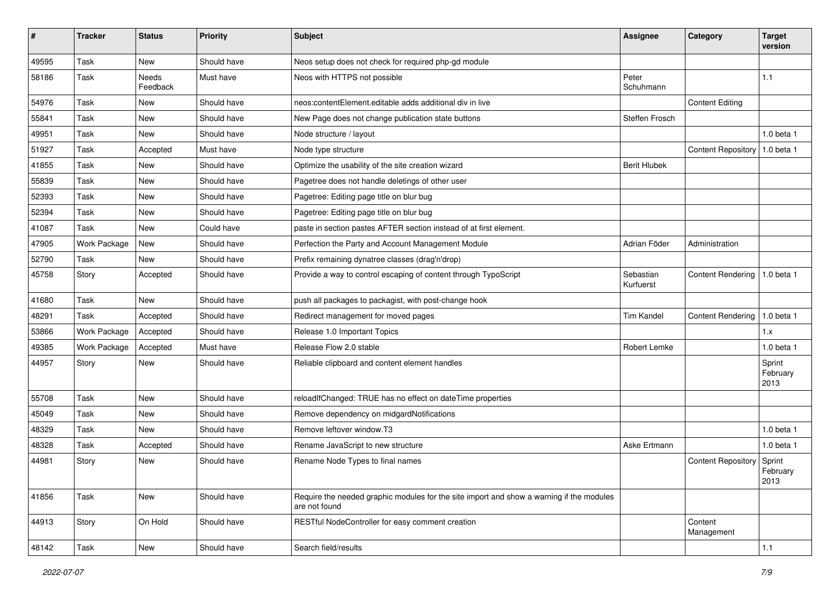| #     | <b>Tracker</b> | <b>Status</b>     | <b>Priority</b> | <b>Subject</b>                                                                                            | <b>Assignee</b>        | Category                  | <b>Target</b><br>version   |
|-------|----------------|-------------------|-----------------|-----------------------------------------------------------------------------------------------------------|------------------------|---------------------------|----------------------------|
| 49595 | Task           | <b>New</b>        | Should have     | Neos setup does not check for required php-gd module                                                      |                        |                           |                            |
| 58186 | Task           | Needs<br>Feedback | Must have       | Neos with HTTPS not possible                                                                              | Peter<br>Schuhmann     |                           | 1.1                        |
| 54976 | Task           | <b>New</b>        | Should have     | neos: content Element, editable adds additional div in live                                               |                        | <b>Content Editing</b>    |                            |
| 55841 | Task           | New               | Should have     | New Page does not change publication state buttons                                                        | Steffen Frosch         |                           |                            |
| 49951 | Task           | <b>New</b>        | Should have     | Node structure / layout                                                                                   |                        |                           | 1.0 beta 1                 |
| 51927 | Task           | Accepted          | Must have       | Node type structure                                                                                       |                        | <b>Content Repository</b> | $1.0$ beta 1               |
| 41855 | Task           | New               | Should have     | Optimize the usability of the site creation wizard                                                        | <b>Berit Hlubek</b>    |                           |                            |
| 55839 | Task           | <b>New</b>        | Should have     | Pagetree does not handle deletings of other user                                                          |                        |                           |                            |
| 52393 | Task           | <b>New</b>        | Should have     | Pagetree: Editing page title on blur bug                                                                  |                        |                           |                            |
| 52394 | Task           | <b>New</b>        | Should have     | Pagetree: Editing page title on blur bug                                                                  |                        |                           |                            |
| 41087 | Task           | New               | Could have      | paste in section pastes AFTER section instead of at first element.                                        |                        |                           |                            |
| 47905 | Work Package   | <b>New</b>        | Should have     | Perfection the Party and Account Management Module                                                        | Adrian Föder           | Administration            |                            |
| 52790 | Task           | <b>New</b>        | Should have     | Prefix remaining dynatree classes (drag'n'drop)                                                           |                        |                           |                            |
| 45758 | Story          | Accepted          | Should have     | Provide a way to control escaping of content through TypoScript                                           | Sebastian<br>Kurfuerst | <b>Content Rendering</b>  | 1.0 beta 1                 |
| 41680 | Task           | <b>New</b>        | Should have     | push all packages to packagist, with post-change hook                                                     |                        |                           |                            |
| 48291 | Task           | Accepted          | Should have     | Redirect management for moved pages                                                                       | Tim Kandel             | <b>Content Rendering</b>  | 1.0 beta 1                 |
| 53866 | Work Package   | Accepted          | Should have     | Release 1.0 Important Topics                                                                              |                        |                           | 1.x                        |
| 49385 | Work Package   | Accepted          | Must have       | Release Flow 2.0 stable                                                                                   | Robert Lemke           |                           | $1.0$ beta $1$             |
| 44957 | Story          | <b>New</b>        | Should have     | Reliable clipboard and content element handles                                                            |                        |                           | Sprint<br>February<br>2013 |
| 55708 | Task           | <b>New</b>        | Should have     | reloadIfChanged: TRUE has no effect on dateTime properties                                                |                        |                           |                            |
| 45049 | Task           | <b>New</b>        | Should have     | Remove dependency on midgardNotifications                                                                 |                        |                           |                            |
| 48329 | Task           | New               | Should have     | Remove leftover window.T3                                                                                 |                        |                           | 1.0 beta 1                 |
| 48328 | Task           | Accepted          | Should have     | Rename JavaScript to new structure                                                                        | Aske Ertmann           |                           | $1.0$ beta $1$             |
| 44981 | Story          | New               | Should have     | Rename Node Types to final names                                                                          |                        | <b>Content Repository</b> | Sprint<br>February<br>2013 |
| 41856 | Task           | New               | Should have     | Require the needed graphic modules for the site import and show a warning if the modules<br>are not found |                        |                           |                            |
| 44913 | Story          | On Hold           | Should have     | RESTful NodeController for easy comment creation                                                          |                        | Content<br>Management     |                            |
| 48142 | Task           | New               | Should have     | Search field/results                                                                                      |                        |                           | $1.1$                      |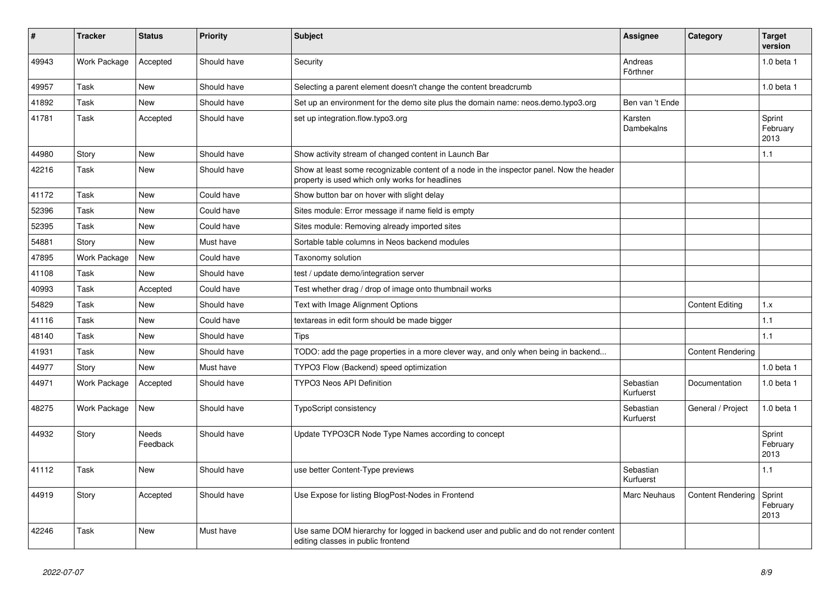| #     | <b>Tracker</b> | <b>Status</b>     | <b>Priority</b> | <b>Subject</b>                                                                                                                              | Assignee               | Category                 | <b>Target</b><br>version   |
|-------|----------------|-------------------|-----------------|---------------------------------------------------------------------------------------------------------------------------------------------|------------------------|--------------------------|----------------------------|
| 49943 | Work Package   | Accepted          | Should have     | Security                                                                                                                                    | Andreas<br>Förthner    |                          | 1.0 beta 1                 |
| 49957 | Task           | New               | Should have     | Selecting a parent element doesn't change the content breadcrumb                                                                            |                        |                          | 1.0 beta 1                 |
| 41892 | Task           | <b>New</b>        | Should have     | Set up an environment for the demo site plus the domain name: neos.demo.typo3.org                                                           | Ben van 't Ende        |                          |                            |
| 41781 | Task           | Accepted          | Should have     | set up integration.flow.typo3.org                                                                                                           | Karsten<br>Dambekalns  |                          | Sprint<br>February<br>2013 |
| 44980 | Story          | New               | Should have     | Show activity stream of changed content in Launch Bar                                                                                       |                        |                          | 1.1                        |
| 42216 | Task           | <b>New</b>        | Should have     | Show at least some recognizable content of a node in the inspector panel. Now the header<br>property is used which only works for headlines |                        |                          |                            |
| 41172 | Task           | <b>New</b>        | Could have      | Show button bar on hover with slight delay                                                                                                  |                        |                          |                            |
| 52396 | Task           | <b>New</b>        | Could have      | Sites module: Error message if name field is empty                                                                                          |                        |                          |                            |
| 52395 | Task           | <b>New</b>        | Could have      | Sites module: Removing already imported sites                                                                                               |                        |                          |                            |
| 54881 | Story          | <b>New</b>        | Must have       | Sortable table columns in Neos backend modules                                                                                              |                        |                          |                            |
| 47895 | Work Package   | <b>New</b>        | Could have      | Taxonomy solution                                                                                                                           |                        |                          |                            |
| 41108 | Task           | <b>New</b>        | Should have     | test / update demo/integration server                                                                                                       |                        |                          |                            |
| 40993 | Task           | Accepted          | Could have      | Test whether drag / drop of image onto thumbnail works                                                                                      |                        |                          |                            |
| 54829 | Task           | <b>New</b>        | Should have     | Text with Image Alignment Options                                                                                                           |                        | <b>Content Editing</b>   | 1.x                        |
| 41116 | Task           | New               | Could have      | textareas in edit form should be made bigger                                                                                                |                        |                          | 1.1                        |
| 48140 | Task           | New               | Should have     | Tips                                                                                                                                        |                        |                          | 1.1                        |
| 41931 | Task           | <b>New</b>        | Should have     | TODO: add the page properties in a more clever way, and only when being in backend                                                          |                        | <b>Content Rendering</b> |                            |
| 44977 | Story          | <b>New</b>        | Must have       | TYPO3 Flow (Backend) speed optimization                                                                                                     |                        |                          | 1.0 beta 1                 |
| 44971 | Work Package   | Accepted          | Should have     | <b>TYPO3 Neos API Definition</b>                                                                                                            | Sebastian<br>Kurfuerst | Documentation            | $1.0$ beta $1$             |
| 48275 | Work Package   | <b>New</b>        | Should have     | <b>TypoScript consistency</b>                                                                                                               | Sebastian<br>Kurfuerst | General / Project        | 1.0 beta 1                 |
| 44932 | Story          | Needs<br>Feedback | Should have     | Update TYPO3CR Node Type Names according to concept                                                                                         |                        |                          | Sprint<br>February<br>2013 |
| 41112 | Task           | <b>New</b>        | Should have     | use better Content-Type previews                                                                                                            | Sebastian<br>Kurfuerst |                          | 1.1                        |
| 44919 | Story          | Accepted          | Should have     | Use Expose for listing BlogPost-Nodes in Frontend                                                                                           | Marc Neuhaus           | <b>Content Rendering</b> | Sprint<br>February<br>2013 |
| 42246 | Task           | <b>New</b>        | Must have       | Use same DOM hierarchy for logged in backend user and public and do not render content<br>editing classes in public frontend                |                        |                          |                            |